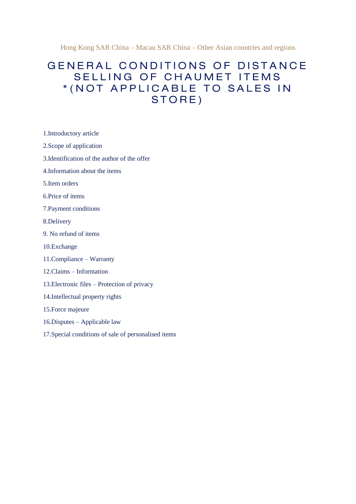Hong Kong SAR China – Macau SAR China – Other Asian countries and regions

# GENERAL CONDITIONS OF DISTANCE SELLING OF CHAUMET ITEMS \* (NOT APPLICABLE TO SALES IN STORE)

- 1.Introductory article
- 2.Scope of application
- 3.Identification of the author of the offer
- 4.Information about the items
- 5.Item orders
- 6.Price of items
- 7.Payment conditions
- 8.Delivery
- 9. No refund of items
- 10.Exchange
- 11.Compliance Warranty
- 12.Claims Information
- 13.Electronic files Protection of privacy
- 14.Intellectual property rights
- 15.Force majeure
- 16.Disputes Applicable law
- 17.Special conditions of sale of personalised items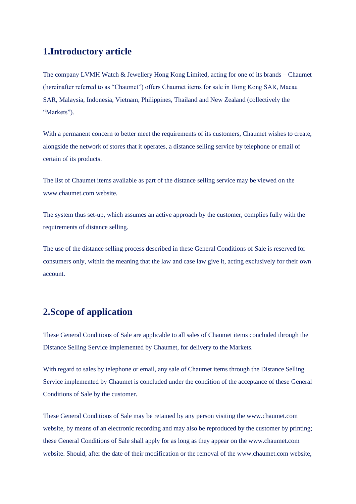## **1.Introductory article**

The company LVMH Watch & Jewellery Hong Kong Limited, acting for one of its brands – Chaumet (hereinafter referred to as "Chaumet") offers Chaumet items for sale in Hong Kong SAR, Macau SAR, Malaysia, Indonesia, Vietnam, Philippines, Thailand and New Zealand (collectively the "Markets").

With a permanent concern to better meet the requirements of its customers, Chaumet wishes to create, alongside the network of stores that it operates, a distance selling service by telephone or email of certain of its products.

The list of Chaumet items available as part of the distance selling service may be viewed on the www.chaumet.com website.

The system thus set-up, which assumes an active approach by the customer, complies fully with the requirements of distance selling.

The use of the distance selling process described in these General Conditions of Sale is reserved for consumers only, within the meaning that the law and case law give it, acting exclusively for their own account.

## **2.Scope of application**

These General Conditions of Sale are applicable to all sales of Chaumet items concluded through the Distance Selling Service implemented by Chaumet, for delivery to the Markets.

With regard to sales by telephone or email, any sale of Chaumet items through the Distance Selling Service implemented by Chaumet is concluded under the condition of the acceptance of these General Conditions of Sale by the customer.

These General Conditions of Sale may be retained by any person visiting the www.chaumet.com website, by means of an electronic recording and may also be reproduced by the customer by printing; these General Conditions of Sale shall apply for as long as they appear on the www.chaumet.com website. Should, after the date of their modification or the removal of the www.chaumet.com website,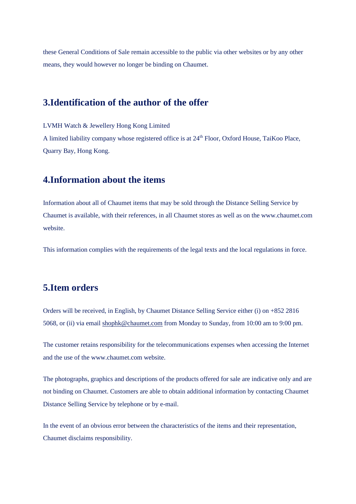these General Conditions of Sale remain accessible to the public via other websites or by any other means, they would however no longer be binding on Chaumet.

#### **3.Identification of the author of the offer**

LVMH Watch & Jewellery Hong Kong Limited A limited liability company whose registered office is at 24<sup>th</sup> Floor, Oxford House, TaiKoo Place, Quarry Bay, Hong Kong.

### **4.Information about the items**

Information about all of Chaumet items that may be sold through the Distance Selling Service by Chaumet is available, with their references, in all Chaumet stores as well as on the www.chaumet.com website.

This information complies with the requirements of the legal texts and the local regulations in force.

## **5.Item orders**

Orders will be received, in English, by Chaumet Distance Selling Service either (i) on +852 2816 5068, or (ii) via email [shophk@chaumet.com](mailto:shophk@chaumet.com) from Monday to Sunday, from 10:00 am to 9:00 pm.

The customer retains responsibility for the telecommunications expenses when accessing the Internet and the use of the www.chaumet.com website.

The photographs, graphics and descriptions of the products offered for sale are indicative only and are not binding on Chaumet. Customers are able to obtain additional information by contacting Chaumet Distance Selling Service by telephone or by e-mail.

In the event of an obvious error between the characteristics of the items and their representation, Chaumet disclaims responsibility.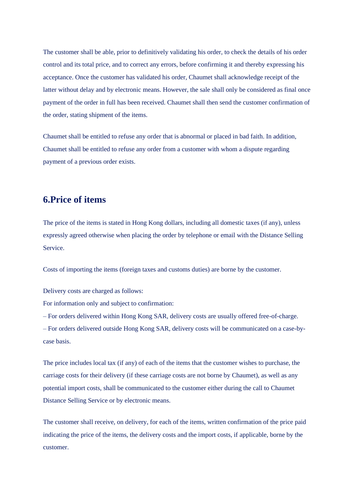The customer shall be able, prior to definitively validating his order, to check the details of his order control and its total price, and to correct any errors, before confirming it and thereby expressing his acceptance. Once the customer has validated his order, Chaumet shall acknowledge receipt of the latter without delay and by electronic means. However, the sale shall only be considered as final once payment of the order in full has been received. Chaumet shall then send the customer confirmation of the order, stating shipment of the items.

Chaumet shall be entitled to refuse any order that is abnormal or placed in bad faith. In addition, Chaumet shall be entitled to refuse any order from a customer with whom a dispute regarding payment of a previous order exists.

#### **6.Price of items**

The price of the items is stated in Hong Kong dollars, including all domestic taxes (if any), unless expressly agreed otherwise when placing the order by telephone or email with the Distance Selling Service.

Costs of importing the items (foreign taxes and customs duties) are borne by the customer.

Delivery costs are charged as follows:

For information only and subject to confirmation:

– For orders delivered within Hong Kong SAR, delivery costs are usually offered free-of-charge.

– For orders delivered outside Hong Kong SAR, delivery costs will be communicated on a case-bycase basis.

The price includes local tax (if any) of each of the items that the customer wishes to purchase, the carriage costs for their delivery (if these carriage costs are not borne by Chaumet), as well as any potential import costs, shall be communicated to the customer either during the call to Chaumet Distance Selling Service or by electronic means.

The customer shall receive, on delivery, for each of the items, written confirmation of the price paid indicating the price of the items, the delivery costs and the import costs, if applicable, borne by the customer.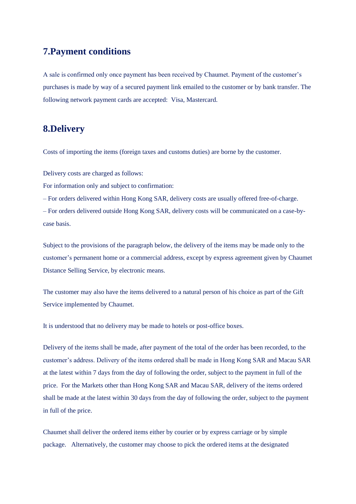## **7.Payment conditions**

A sale is confirmed only once payment has been received by Chaumet. Payment of the customer's purchases is made by way of a secured payment link emailed to the customer or by bank transfer. The following network payment cards are accepted: Visa, Mastercard.

## **8.Delivery**

Costs of importing the items (foreign taxes and customs duties) are borne by the customer.

Delivery costs are charged as follows:

For information only and subject to confirmation:

– For orders delivered within Hong Kong SAR, delivery costs are usually offered free-of-charge. – For orders delivered outside Hong Kong SAR, delivery costs will be communicated on a case-bycase basis.

Subject to the provisions of the paragraph below, the delivery of the items may be made only to the customer's permanent home or a commercial address, except by express agreement given by Chaumet Distance Selling Service, by electronic means.

The customer may also have the items delivered to a natural person of his choice as part of the Gift Service implemented by Chaumet.

It is understood that no delivery may be made to hotels or post-office boxes.

Delivery of the items shall be made, after payment of the total of the order has been recorded, to the customer's address. Delivery of the items ordered shall be made in Hong Kong SAR and Macau SAR at the latest within 7 days from the day of following the order, subject to the payment in full of the price. For the Markets other than Hong Kong SAR and Macau SAR, delivery of the items ordered shall be made at the latest within 30 days from the day of following the order, subject to the payment in full of the price.

Chaumet shall deliver the ordered items either by courier or by express carriage or by simple package. Alternatively, the customer may choose to pick the ordered items at the designated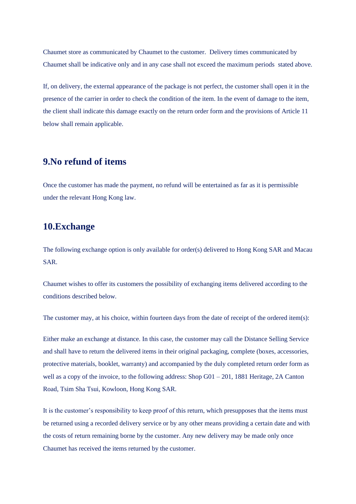Chaumet store as communicated by Chaumet to the customer. Delivery times communicated by Chaumet shall be indicative only and in any case shall not exceed the maximum periods stated above.

If, on delivery, the external appearance of the package is not perfect, the customer shall open it in the presence of the carrier in order to check the condition of the item. In the event of damage to the item, the client shall indicate this damage exactly on the return order form and the provisions of Article 11 below shall remain applicable.

### **9.No refund of items**

Once the customer has made the payment, no refund will be entertained as far as it is permissible under the relevant Hong Kong law.

### **10.Exchange**

The following exchange option is only available for order(s) delivered to Hong Kong SAR and Macau SAR.

Chaumet wishes to offer its customers the possibility of exchanging items delivered according to the conditions described below.

The customer may, at his choice, within fourteen days from the date of receipt of the ordered item(s):

Either make an exchange at distance. In this case, the customer may call the Distance Selling Service and shall have to return the delivered items in their original packaging, complete (boxes, accessories, protective materials, booklet, warranty) and accompanied by the duly completed return order form as well as a copy of the invoice, to the following address: Shop G01 – 201, 1881 Heritage, 2A Canton Road, Tsim Sha Tsui, Kowloon, Hong Kong SAR.

It is the customer's responsibility to keep proof of this return, which presupposes that the items must be returned using a recorded delivery service or by any other means providing a certain date and with the costs of return remaining borne by the customer. Any new delivery may be made only once Chaumet has received the items returned by the customer.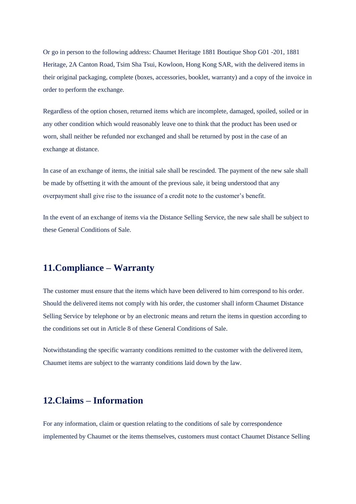Or go in person to the following address: Chaumet Heritage 1881 Boutique Shop G01 -201, 1881 Heritage, 2A Canton Road, Tsim Sha Tsui, Kowloon, Hong Kong SAR, with the delivered items in their original packaging, complete (boxes, accessories, booklet, warranty) and a copy of the invoice in order to perform the exchange.

Regardless of the option chosen, returned items which are incomplete, damaged, spoiled, soiled or in any other condition which would reasonably leave one to think that the product has been used or worn, shall neither be refunded nor exchanged and shall be returned by post in the case of an exchange at distance.

In case of an exchange of items, the initial sale shall be rescinded. The payment of the new sale shall be made by offsetting it with the amount of the previous sale, it being understood that any overpayment shall give rise to the issuance of a credit note to the customer's benefit.

In the event of an exchange of items via the Distance Selling Service, the new sale shall be subject to these General Conditions of Sale.

## **11.Compliance – Warranty**

The customer must ensure that the items which have been delivered to him correspond to his order. Should the delivered items not comply with his order, the customer shall inform Chaumet Distance Selling Service by telephone or by an electronic means and return the items in question according to the conditions set out in Article 8 of these General Conditions of Sale.

Notwithstanding the specific warranty conditions remitted to the customer with the delivered item, Chaumet items are subject to the warranty conditions laid down by the law.

## **12.Claims – Information**

For any information, claim or question relating to the conditions of sale by correspondence implemented by Chaumet or the items themselves, customers must contact Chaumet Distance Selling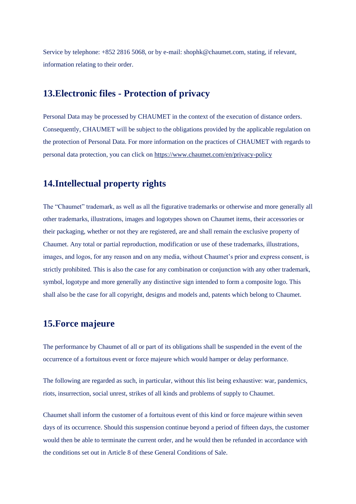Service by telephone: +852 2816 5068, or by e-mail: shophk@chaumet.com, stating, if relevant, information relating to their order.

### **13.Electronic files - Protection of privacy**

Personal Data may be processed by CHAUMET in the context of the execution of distance orders. Consequently, CHAUMET will be subject to the obligations provided by the applicable regulation on the protection of Personal Data. For more information on the practices of CHAUMET with regards to personal data protection, you can click on <https://www.chaumet.com/en/privacy-policy>

#### **14.Intellectual property rights**

The "Chaumet" trademark, as well as all the figurative trademarks or otherwise and more generally all other trademarks, illustrations, images and logotypes shown on Chaumet items, their accessories or their packaging, whether or not they are registered, are and shall remain the exclusive property of Chaumet. Any total or partial reproduction, modification or use of these trademarks, illustrations, images, and logos, for any reason and on any media, without Chaumet's prior and express consent, is strictly prohibited. This is also the case for any combination or conjunction with any other trademark, symbol, logotype and more generally any distinctive sign intended to form a composite logo. This shall also be the case for all copyright, designs and models and, patents which belong to Chaumet.

#### **15.Force majeure**

The performance by Chaumet of all or part of its obligations shall be suspended in the event of the occurrence of a fortuitous event or force majeure which would hamper or delay performance.

The following are regarded as such, in particular, without this list being exhaustive: war, pandemics, riots, insurrection, social unrest, strikes of all kinds and problems of supply to Chaumet.

Chaumet shall inform the customer of a fortuitous event of this kind or force majeure within seven days of its occurrence. Should this suspension continue beyond a period of fifteen days, the customer would then be able to terminate the current order, and he would then be refunded in accordance with the conditions set out in Article 8 of these General Conditions of Sale.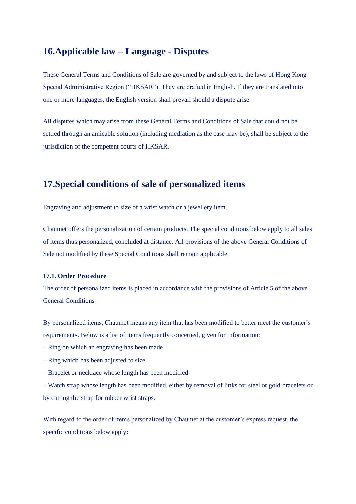## **16.Applicable law – Language - Disputes**

These General Terms and Conditions of Sale are governed by and subject to the laws of Hong Kong Special Administrative Region ("HKSAR"). They are drafted in English. If they are translated into one or more languages, the English version shall prevail should a dispute arise.

All disputes which may arise from these General Terms and Conditions of Sale that could not be settled through an amicable solution (including mediation as the case may be), shall be subject to the jurisdiction of the competent courts of HKSAR.

### **17.Special conditions of sale of personalized items**

Engraving and adjustment to size of a wrist watch or a jewellery item.

Chaumet offers the personalization of certain products. The special conditions below apply to all sales of items thus personalized, concluded at distance. All provisions of the above General Conditions of Sale not modified by these Special Conditions shall remain applicable.

#### **17.1. Order Procedure**

The order of personalized items is placed in accordance with the provisions of Article 5 of the above General Conditions

By personalized items, Chaumet means any item that has been modified to better meet the customer's requirements. Below is a list of items frequently concerned, given for information:

- Ring on which an engraving has been made
- Ring which has been adjusted to size
- Bracelet or necklace whose length has been modified
- Watch strap whose length has been modified, either by removal of links for steel or gold bracelets or by cutting the strap for rubber wrist straps.

With regard to the order of items personalized by Chaumet at the customer's express request, the specific conditions below apply: